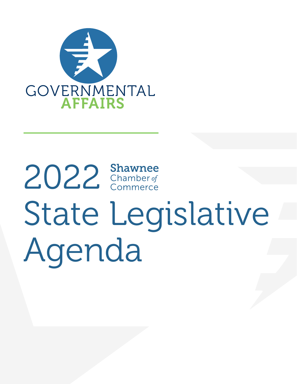

# 2022 Shawnee State Legislative Agenda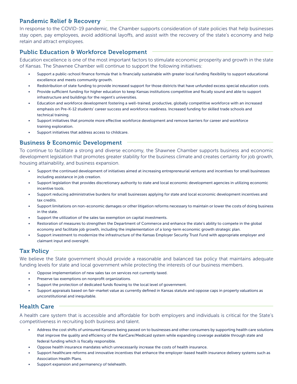#### Pandemic Relief & Recovery

In response to the COVID-19 pandemic, the Chamber supports consideration of state policies that help businesses stay open, pay employees, avoid additional layoffs, and assist with the recovery of the state's economy and help retain and attract employees.

# Public Education & Workforce Development

Education excellence is one of the most important factors to stimulate economic prosperity and growth in the state of Kansas. The Shawnee Chamber will continue to support the following initiatives:

- Support a public-school finance formula that is financially sustainable with greater local funding flexibility to support educational excellence and meets community growth.
- Redistribution of state funding to provide increased support for those districts that have unfunded excess special education costs.
- Provide sufficient funding for higher education to keep Kansas institutions competitive and fiscally sound and able to support infrastructure and buildings for the regent's universities.
- Education and workforce development fostering a well-trained, productive, globally competitive workforce with an increased emphasis on Pre-K-12 students' career success and workforce readiness. Increased funding for skilled trade schools and technical training.
- Support initiatives that promote more effective workforce development and remove barriers for career and workforce training exploration.
- Support initiatives that address access to childcare.

#### Business & Economic Development

To continue to facilitate a strong and diverse economy, the Shawnee Chamber supports business and economic development legislation that promotes greater stability for the business climate and creates certainty for job growth, housing attainability, and business expansion.

- Support the continued development of initiatives aimed at increasing entrepreneurial ventures and incentives for small businesses including assistance in job creation.
- Support legislation that provides discretionary authority to state and local economic development agencies in utilizing economic incentive tools.
- Support reducing administrative burdens for small businesses applying for state and local economic development incentives and tax credits.
- Support limitations on non-economic damages or other litigation reforms necessary to maintain or lower the costs of doing business in the state.
- Support the utilization of the sales tax exemption on capital investments.
- Restoration of measures to strengthen the Department of Commerce and enhance the state's ability to compete in the global economy and facilitate job growth, including the implementation of a long-term economic growth strategic plan.
- Support investment to modernize the infrastructure of the Kansas Employer Security Trust Fund with appropriate employer and claimant input and oversight.

#### Tax Policy

We believe the State government should provide a reasonable and balanced tax policy that maintains adequate funding levels for state and local government while protecting the interests of our business members.

- Oppose implementation of new sales tax on services not currently taxed.
- Preserve tax exemptions on nonprofit organizations.
- Support the protection of dedicated funds flowing to the local level of government.
- Support appraisals based on fair-market value as currently defined in Kansas statute and oppose caps in property valuations as unconstitutional and inequitable.

#### Health Care

A health care system that is accessible and affordable for both employers and individuals is critical for the State's competitiveness in recruiting both business and talent.

- Address the cost shifts of uninsured Kansans being passed on to businesses and other consumers by supporting health care solutions that improve the quality and efficiency of the KanCare/Medicaid system while expanding coverage available through state and federal funding which is fiscally responsible.
- Oppose health insurance mandates which unnecessarily increase the costs of health insurance.
- Support healthcare reforms and innovative incentives that enhance the employer-based health insurance delivery systems such as Association Health Plans.
- Support expansion and permanency of telehealth.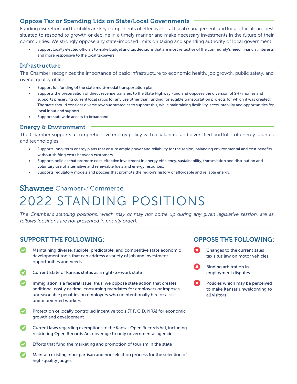#### Oppose Tax or Spending Lids on State/Local Governments

Funding discretion and flexibility are key components of effective local fiscal management, and local officials are best situated to respond to growth or decline in a timely manner and make necessary investments in the future of their communities. We strongly oppose any state-imposed limits on taxing and spending authority of local government.

• Support locally elected officials to make budget and tax decisions that are most reflective of the community's need, financial interests and more responsive to the local taxpayers.

#### Infrastructure

The Chamber recognizes the importance of basic infrastructure to economic health, job growth, public safety, and overall quality of life.

- Support full funding of the state multi-modal transportation plan.
- Supports the preservation of direct revenue transfers to the State Highway Fund and opposes the diversion of SHF monies and supports preserving current local ratios for any use other than funding for eligible transportation projects for which it was created. The state should consider diverse revenue strategies to support this, while maintaining flexibility, accountability and opportunities for local input and support.
- Support statewide access to broadband.

#### Energy & Environment

The Chamber supports a comprehensive energy policy with a balanced and diversified portfolio of energy sources and technologies.

- Supports long-term energy plans that ensure ample power and reliability for the region, balancing environmental and cost benefits, without shifting costs between customers.
- Supports policies that promote cost-effective investment in energy efficiency, sustainability, transmission and distribution and voluntary use of alternative and renewable fuels and energy resources.
- Supports regulatory models and policies that promote the region's history of affordable and reliable energy.

# **Shawnee** Chamber of Commerce 2022 STANDING POSITIONS

*The Chamber's standing positions, which may or may not come up during any given legislative session, are as follows (positions are not presented in priority order):*

## SUPPORT THE FOLLOWING:

- Maintaining diverse, flexible, predictable, and competitive state economic development tools that can address a variety of job and investment opportunities and needs
- Current State of Kansas status as a right-to-work state
- Immigration is a federal issue; thus, we oppose state action that creates additional costly or time-consuming mandates for employers or imposes unreasonable penalties on employers who unintentionally hire or assist undocumented workers
- Protection of locally controlled incentive tools (TIF, CID, NRA) for economic growth and development
- Current laws regarding exemptions to the Kansas Open Records Act, including restricting Open Records Act coverage to only governmental agencies
- Efforts that fund the marketing and promotion of tourism in the state
- Maintain existing, non-partisan and non-election process for the selection of high-quality judges

# OPPOSE THE FOLLOWING:

- Changes to the current sales tax situs law on motor vehicles
- m Binding arbitration in employment disputes
- Ø Policies which may be perceived to make Kansas unwelcoming to all visitors